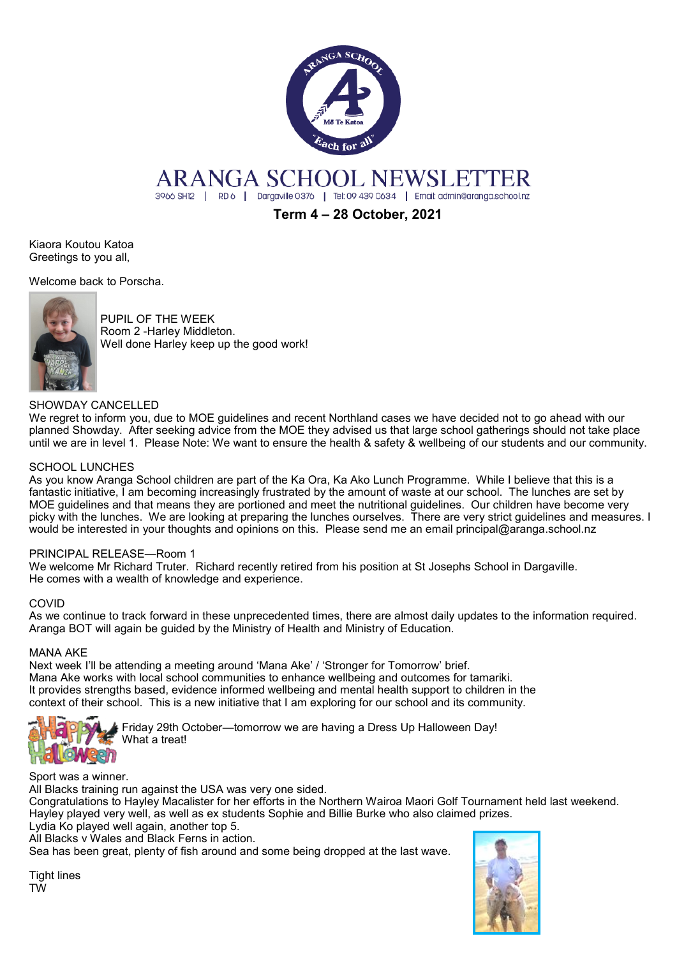

# ARANGA SCHOOL NEWSLETTER

3966 SH12 | RD 6 | Dargaville 0376 | Tel: 09 439 0634 | Email: admin@aranga.school.nz

**Term 4 – 28 October, 2021**

Kiaora Koutou Katoa Greetings to you all,

Welcome back to Porscha.



PUPIL OF THE WEEK Room 2 -Harley Middleton. Well done Harley keep up the good work!

## SHOWDAY CANCELLED

We regret to inform you, due to MOE guidelines and recent Northland cases we have decided not to go ahead with our planned Showday. After seeking advice from the MOE they advised us that large school gatherings should not take place until we are in level 1. Please Note: We want to ensure the health & safety & wellbeing of our students and our community.

### SCHOOL LUNCHES

As you know Aranga School children are part of the Ka Ora, Ka Ako Lunch Programme. While I believe that this is a fantastic initiative, I am becoming increasingly frustrated by the amount of waste at our school. The lunches are set by MOE guidelines and that means they are portioned and meet the nutritional guidelines. Our children have become very picky with the lunches. We are looking at preparing the lunches ourselves. There are very strict guidelines and measures. I would be interested in your thoughts and opinions on this. Please send me an email principal@aranga.school.nz

### PRINCIPAL RELEASE—Room 1

We welcome Mr Richard Truter. Richard recently retired from his position at St Josephs School in Dargaville. He comes with a wealth of knowledge and experience.

### COVID

As we continue to track forward in these unprecedented times, there are almost daily updates to the information required. Aranga BOT will again be guided by the Ministry of Health and Ministry of Education.

### MANA AKE

Next week I'll be attending a meeting around 'Mana Ake' / 'Stronger for Tomorrow' brief. Mana Ake works with local school communities to enhance wellbeing and outcomes for tamariki. It provides strengths based, evidence informed wellbeing and mental health support to children in the context of their school. This is a new initiative that I am exploring for our school and its community.



Friday 29th October—tomorrow we are having a Dress Up Halloween Day! What a treat!

Sport was a winner.

All Blacks training run against the USA was very one sided.

Congratulations to Hayley Macalister for her efforts in the Northern Wairoa Maori Golf Tournament held last weekend. Hayley played very well, as well as ex students Sophie and Billie Burke who also claimed prizes.

Lydia Ko played well again, another top 5.

All Blacks v Wales and Black Ferns in action.

Sea has been great, plenty of fish around and some being dropped at the last wave.



Tight lines TW